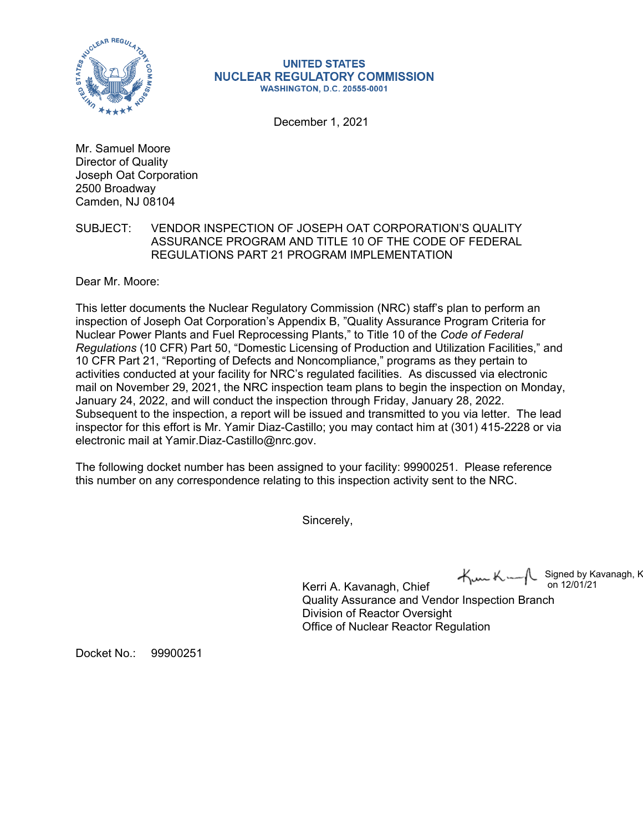

## **UNITED STATES NUCLEAR REGULATORY COMMISSION WASHINGTON, D.C. 20555-0001**

December 1, 2021

Mr. Samuel Moore Director of Quality Joseph Oat Corporation 2500 Broadway Camden, NJ 08104

## SUBJECT: VENDOR INSPECTION OF JOSEPH OAT CORPORATION'S QUALITY ASSURANCE PROGRAM AND TITLE 10 OF THE CODE OF FEDERAL REGULATIONS PART 21 PROGRAM IMPLEMENTATION

Dear Mr. Moore:

This letter documents the Nuclear Regulatory Commission (NRC) staff's plan to perform an inspection of Joseph Oat Corporation's Appendix B, "Quality Assurance Program Criteria for Nuclear Power Plants and Fuel Reprocessing Plants," to Title 10 of the *Code of Federal Regulations* (10 CFR) Part 50, "Domestic Licensing of Production and Utilization Facilities," and 10 CFR Part 21, "Reporting of Defects and Noncompliance," programs as they pertain to activities conducted at your facility for NRC's regulated facilities. As discussed via electronic mail on November 29, 2021, the NRC inspection team plans to begin the inspection on Monday, January 24, 2022, and will conduct the inspection through Friday, January 28, 2022. Subsequent to the inspection, a report will be issued and transmitted to you via letter. The lead inspector for this effort is Mr. Yamir Diaz-Castillo; you may contact him at (301) 415-2228 or via electronic mail at Yamir.Diaz-Castillo@nrc.gov.

The following docket number has been assigned to your facility: 99900251. Please reference this number on any correspondence relating to this inspection activity sent to the NRC.

Sincerely,

 $\forall m$ K-Signed by Kavanagh, K on 12/01/21

Kerri A. Kavanagh, Chief Quality Assurance and Vendor Inspection Branch Division of Reactor Oversight Office of Nuclear Reactor Regulation

Docket No.: 99900251